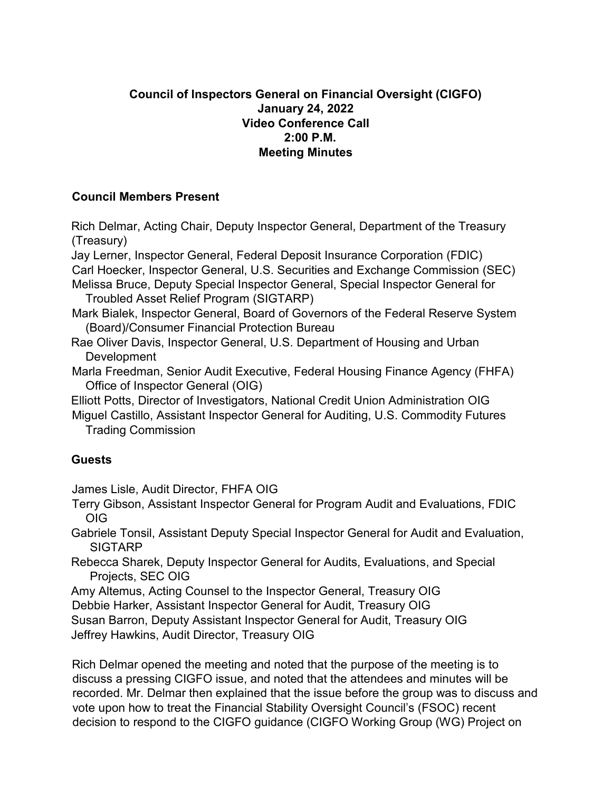## **Council of Inspectors General on Financial Oversight (CIGFO) January 24, 2022 Video Conference Call 2:00 P.M. Meeting Minutes**

## **Council Members Present**

Rich Delmar, Acting Chair, Deputy Inspector General, Department of the Treasury (Treasury)

Jay Lerner, Inspector General, Federal Deposit Insurance Corporation (FDIC) Carl Hoecker, Inspector General, U.S. Securities and Exchange Commission (SEC)

- Melissa Bruce, Deputy Special Inspector General, Special Inspector General for Troubled Asset Relief Program (SIGTARP)
- Mark Bialek, Inspector General, Board of Governors of the Federal Reserve System (Board)/Consumer Financial Protection Bureau
- Rae Oliver Davis, Inspector General, U.S. Department of Housing and Urban Development
- Marla Freedman, Senior Audit Executive, Federal Housing Finance Agency (FHFA) Office of Inspector General (OIG)

Elliott Potts, Director of Investigators, National Credit Union Administration OIG Miguel Castillo, Assistant Inspector General for Auditing, U.S. Commodity Futures Trading Commission

## **Guests**

James Lisle, Audit Director, FHFA OIG

- Terry Gibson, Assistant Inspector General for Program Audit and Evaluations, FDIC OIG
- Gabriele Tonsil, Assistant Deputy Special Inspector General for Audit and Evaluation, SIGTARP
- Rebecca Sharek, Deputy Inspector General for Audits, Evaluations, and Special Projects, SEC OIG

Amy Altemus, Acting Counsel to the Inspector General, Treasury OIG Debbie Harker, Assistant Inspector General for Audit, Treasury OIG Susan Barron, Deputy Assistant Inspector General for Audit, Treasury OIG Jeffrey Hawkins, Audit Director, Treasury OIG

Rich Delmar opened the meeting and noted that the purpose of the meeting is to discuss a pressing CIGFO issue, and noted that the attendees and minutes will be recorded. Mr. Delmar then explained that the issue before the group was to discuss and vote upon how to treat the Financial Stability Oversight Council's (FSOC) recent decision to respond to the CIGFO guidance (CIGFO Working Group (WG) Project on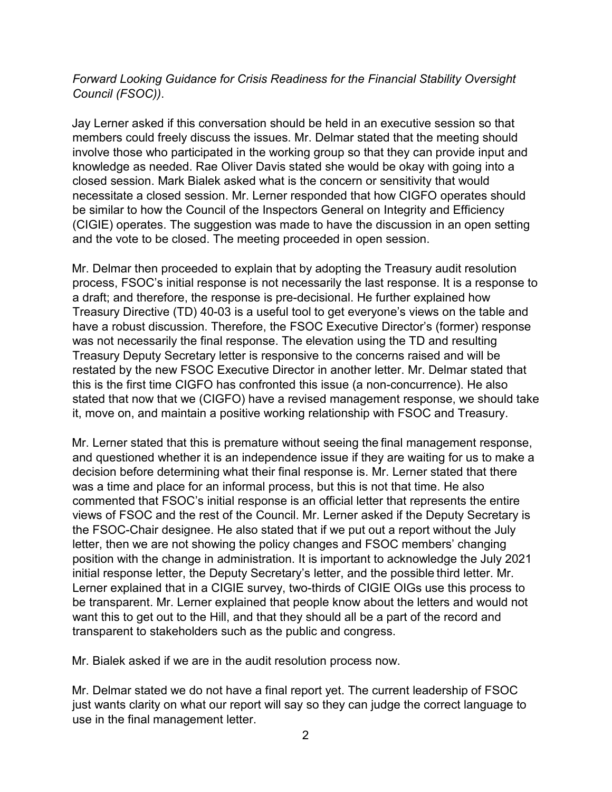## *Forward Looking Guidance for Crisis Readiness for the Financial Stability Oversight Council (FSOC))*.

Jay Lerner asked if this conversation should be held in an executive session so that members could freely discuss the issues. Mr. Delmar stated that the meeting should involve those who participated in the working group so that they can provide input and knowledge as needed. Rae Oliver Davis stated she would be okay with going into a closed session. Mark Bialek asked what is the concern or sensitivity that would necessitate a closed session. Mr. Lerner responded that how CIGFO operates should be similar to how the Council of the Inspectors General on Integrity and Efficiency (CIGIE) operates. The suggestion was made to have the discussion in an open setting and the vote to be closed. The meeting proceeded in open session.

Mr. Delmar then proceeded to explain that by adopting the Treasury audit resolution process, FSOC's initial response is not necessarily the last response. It is a response to a draft; and therefore, the response is pre-decisional. He further explained how Treasury Directive (TD) 40-03 is a useful tool to get everyone's views on the table and have a robust discussion. Therefore, the FSOC Executive Director's (former) response was not necessarily the final response. The elevation using the TD and resulting Treasury Deputy Secretary letter is responsive to the concerns raised and will be restated by the new FSOC Executive Director in another letter. Mr. Delmar stated that this is the first time CIGFO has confronted this issue (a non-concurrence). He also stated that now that we (CIGFO) have a revised management response, we should take it, move on, and maintain a positive working relationship with FSOC and Treasury.

Mr. Lerner stated that this is premature without seeing the final management response, and questioned whether it is an independence issue if they are waiting for us to make a decision before determining what their final response is. Mr. Lerner stated that there was a time and place for an informal process, but this is not that time. He also commented that FSOC's initial response is an official letter that represents the entire views of FSOC and the rest of the Council. Mr. Lerner asked if the Deputy Secretary is the FSOC-Chair designee. He also stated that if we put out a report without the July letter, then we are not showing the policy changes and FSOC members' changing position with the change in administration. It is important to acknowledge the July 2021 initial response letter, the Deputy Secretary's letter, and the possible third letter. Mr. Lerner explained that in a CIGIE survey, two-thirds of CIGIE OIGs use this process to be transparent. Mr. Lerner explained that people know about the letters and would not want this to get out to the Hill, and that they should all be a part of the record and transparent to stakeholders such as the public and congress.

Mr. Bialek asked if we are in the audit resolution process now.

Mr. Delmar stated we do not have a final report yet. The current leadership of FSOC just wants clarity on what our report will say so they can judge the correct language to use in the final management letter.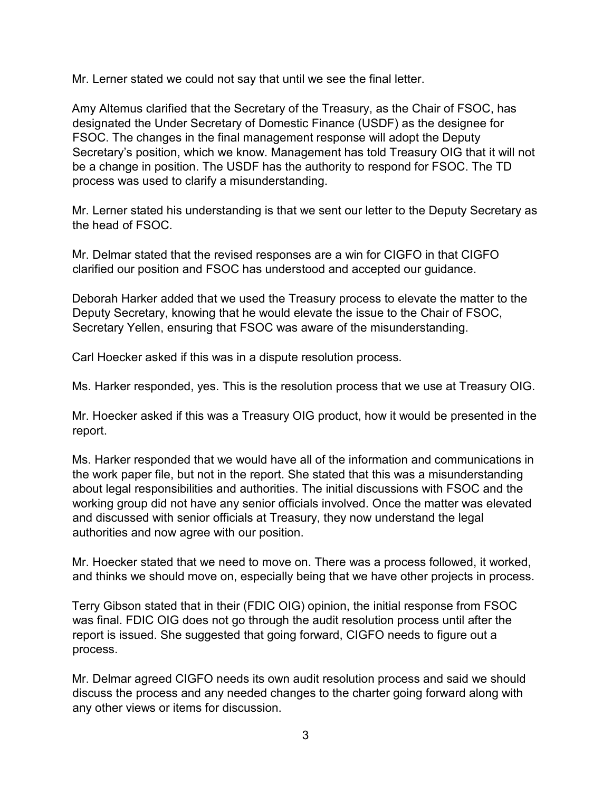Mr. Lerner stated we could not say that until we see the final letter.

Amy Altemus clarified that the Secretary of the Treasury, as the Chair of FSOC, has designated the Under Secretary of Domestic Finance (USDF) as the designee for FSOC. The changes in the final management response will adopt the Deputy Secretary's position, which we know. Management has told Treasury OIG that it will not be a change in position. The USDF has the authority to respond for FSOC. The TD process was used to clarify a misunderstanding.

Mr. Lerner stated his understanding is that we sent our letter to the Deputy Secretary as the head of FSOC.

Mr. Delmar stated that the revised responses are a win for CIGFO in that CIGFO clarified our position and FSOC has understood and accepted our guidance.

Deborah Harker added that we used the Treasury process to elevate the matter to the Deputy Secretary, knowing that he would elevate the issue to the Chair of FSOC, Secretary Yellen, ensuring that FSOC was aware of the misunderstanding.

Carl Hoecker asked if this was in a dispute resolution process.

Ms. Harker responded, yes. This is the resolution process that we use at Treasury OIG.

Mr. Hoecker asked if this was a Treasury OIG product, how it would be presented in the report.

Ms. Harker responded that we would have all of the information and communications in the work paper file, but not in the report. She stated that this was a misunderstanding about legal responsibilities and authorities. The initial discussions with FSOC and the working group did not have any senior officials involved. Once the matter was elevated and discussed with senior officials at Treasury, they now understand the legal authorities and now agree with our position.

Mr. Hoecker stated that we need to move on. There was a process followed, it worked, and thinks we should move on, especially being that we have other projects in process.

Terry Gibson stated that in their (FDIC OIG) opinion, the initial response from FSOC was final. FDIC OIG does not go through the audit resolution process until after the report is issued. She suggested that going forward, CIGFO needs to figure out a process.

Mr. Delmar agreed CIGFO needs its own audit resolution process and said we should discuss the process and any needed changes to the charter going forward along with any other views or items for discussion.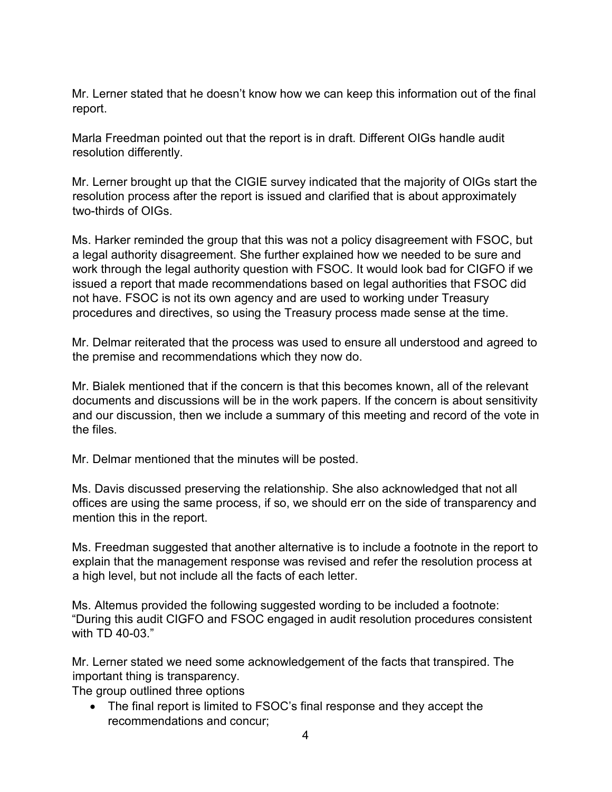Mr. Lerner stated that he doesn't know how we can keep this information out of the final report.

Marla Freedman pointed out that the report is in draft. Different OIGs handle audit resolution differently.

Mr. Lerner brought up that the CIGIE survey indicated that the majority of OIGs start the resolution process after the report is issued and clarified that is about approximately two-thirds of OIGs.

Ms. Harker reminded the group that this was not a policy disagreement with FSOC, but a legal authority disagreement. She further explained how we needed to be sure and work through the legal authority question with FSOC. It would look bad for CIGFO if we issued a report that made recommendations based on legal authorities that FSOC did not have. FSOC is not its own agency and are used to working under Treasury procedures and directives, so using the Treasury process made sense at the time.

Mr. Delmar reiterated that the process was used to ensure all understood and agreed to the premise and recommendations which they now do.

Mr. Bialek mentioned that if the concern is that this becomes known, all of the relevant documents and discussions will be in the work papers. If the concern is about sensitivity and our discussion, then we include a summary of this meeting and record of the vote in the files.

Mr. Delmar mentioned that the minutes will be posted.

Ms. Davis discussed preserving the relationship. She also acknowledged that not all offices are using the same process, if so, we should err on the side of transparency and mention this in the report.

Ms. Freedman suggested that another alternative is to include a footnote in the report to explain that the management response was revised and refer the resolution process at a high level, but not include all the facts of each letter.

Ms. Altemus provided the following suggested wording to be included a footnote: "During this audit CIGFO and FSOC engaged in audit resolution procedures consistent with TD 40-03."

Mr. Lerner stated we need some acknowledgement of the facts that transpired. The important thing is transparency.

The group outlined three options

• The final report is limited to FSOC's final response and they accept the recommendations and concur;